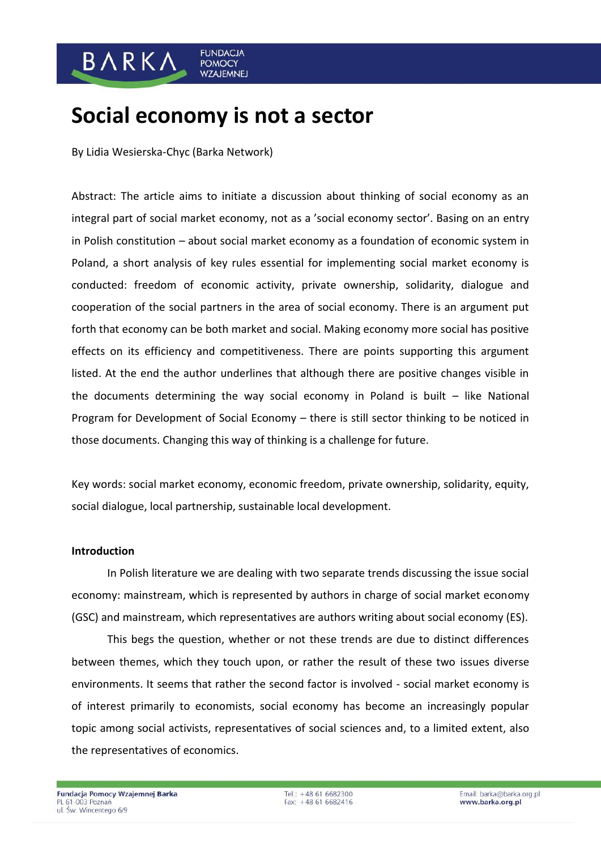### BARKA **POMOCY WZAJEMNEJ**

# **Social economy is not a sector**

**FUNDACJA** 

By Lidia Wesierska-Chyc (Barka Network)

Abstract: The article aims to initiate a discussion about thinking of social economy as an integral part of social market economy, not as a 'social economy sector'. Basing on an entry in Polish constitution – about social market economy as a foundation of economic system in Poland, a short analysis of key rules essential for implementing social market economy is conducted: freedom of economic activity, private ownership, solidarity, dialogue and cooperation of the social partners in the area of social economy. There is an argument put forth that economy can be both market and social. Making economy more social has positive effects on its efficiency and competitiveness. There are points supporting this argument listed. At the end the author underlines that although there are positive changes visible in the documents determining the way social economy in Poland is built – like National Program for Development of Social Economy – there is still sector thinking to be noticed in those documents. Changing this way of thinking is a challenge for future.

Key words: social market economy, economic freedom, private ownership, solidarity, equity, social dialogue, local partnership, sustainable local development.

### **Introduction**

In Polish literature we are dealing with two separate trends discussing the issue social economy: mainstream, which is represented by authors in charge of social market economy (GSC) and mainstream, which representatives are authors writing about social economy (ES).

This begs the question, whether or not these trends are due to distinct differences between themes, which they touch upon, or rather the result of these two issues diverse environments. It seems that rather the second factor is involved - social market economy is of interest primarily to economists, social economy has become an increasingly popular topic among social activists, representatives of social sciences and, to a limited extent, also the representatives of economics.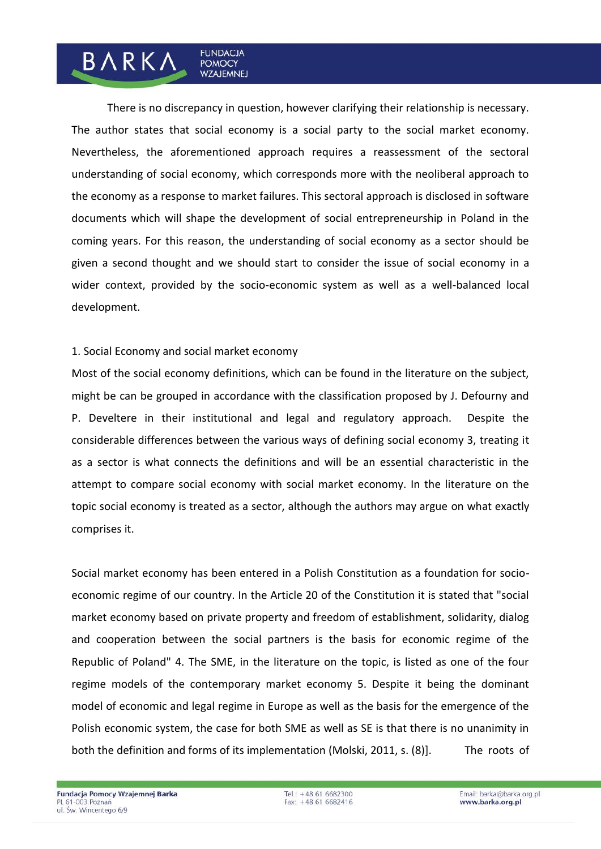There is no discrepancy in question, however clarifying their relationship is necessary. The author states that social economy is a social party to the social market economy. Nevertheless, the aforementioned approach requires a reassessment of the sectoral understanding of social economy, which corresponds more with the neoliberal approach to the economy as a response to market failures. This sectoral approach is disclosed in software documents which will shape the development of social entrepreneurship in Poland in the coming years. For this reason, the understanding of social economy as a sector should be given a second thought and we should start to consider the issue of social economy in a wider context, provided by the socio-economic system as well as a well-balanced local development.

### 1. Social Economy and social market economy

**FUNDACIA** 

**POMOCY WZAJEMNEJ** 

BARKA

Most of the social economy definitions, which can be found in the literature on the subject, might be can be grouped in accordance with the classification proposed by J. Defourny and P. Develtere in their institutional and legal and regulatory approach. Despite the considerable differences between the various ways of defining social economy 3, treating it as a sector is what connects the definitions and will be an essential characteristic in the attempt to compare social economy with social market economy. In the literature on the topic social economy is treated as a sector, although the authors may argue on what exactly comprises it.

Social market economy has been entered in a Polish Constitution as a foundation for socioeconomic regime of our country. In the Article 20 of the Constitution it is stated that "social market economy based on private property and freedom of establishment, solidarity, dialog and cooperation between the social partners is the basis for economic regime of the Republic of Poland" 4. The SME, in the literature on the topic, is listed as one of the four regime models of the contemporary market economy 5. Despite it being the dominant model of economic and legal regime in Europe as well as the basis for the emergence of the Polish economic system, the case for both SME as well as SE is that there is no unanimity in both the definition and forms of its implementation (Molski, 2011, s. (8). The roots of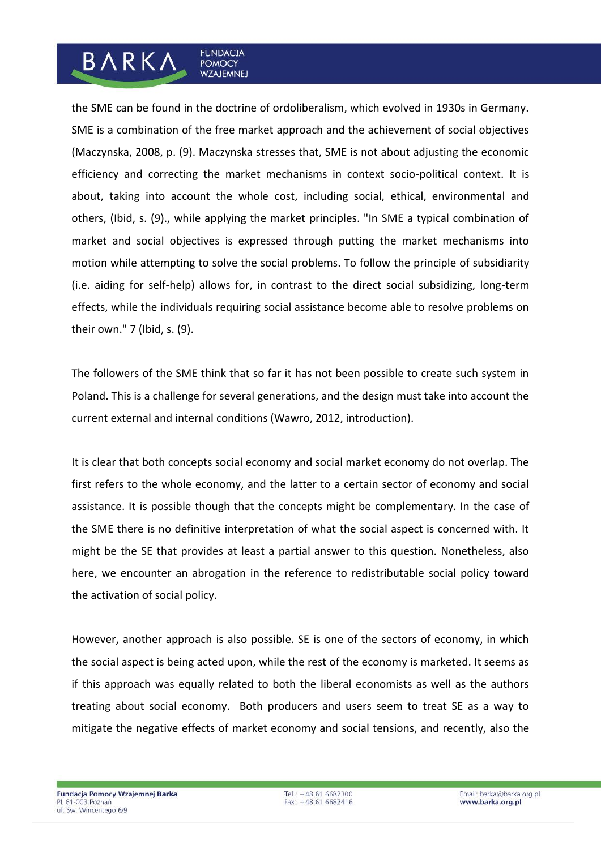# the SME can be found in the doctrine of ordoliberalism, which evolved in 1930s in Germany. SME is a combination of the free market approach and the achievement of social objectives (Maczynska, 2008, p. (9). Maczynska stresses that, SME is not about adjusting the economic efficiency and correcting the market mechanisms in context socio-political context. It is about, taking into account the whole cost, including social, ethical, environmental and others, (Ibid, s. (9)., while applying the market principles. "In SME a typical combination of market and social objectives is expressed through putting the market mechanisms into motion while attempting to solve the social problems. To follow the principle of subsidiarity (i.e. aiding for self-help) allows for, in contrast to the direct social subsidizing, long-term effects, while the individuals requiring social assistance become able to resolve problems on their own." 7 (Ibid, s. (9).

**FUNDACJA** 

**POMOCY WZAJEMNEJ** 

**BARKA** 

The followers of the SME think that so far it has not been possible to create such system in Poland. This is a challenge for several generations, and the design must take into account the current external and internal conditions (Wawro, 2012, introduction).

It is clear that both concepts social economy and social market economy do not overlap. The first refers to the whole economy, and the latter to a certain sector of economy and social assistance. It is possible though that the concepts might be complementary. In the case of the SME there is no definitive interpretation of what the social aspect is concerned with. It might be the SE that provides at least a partial answer to this question. Nonetheless, also here, we encounter an abrogation in the reference to redistributable social policy toward the activation of social policy.

However, another approach is also possible. SE is one of the sectors of economy, in which the social aspect is being acted upon, while the rest of the economy is marketed. It seems as if this approach was equally related to both the liberal economists as well as the authors treating about social economy. Both producers and users seem to treat SE as a way to mitigate the negative effects of market economy and social tensions, and recently, also the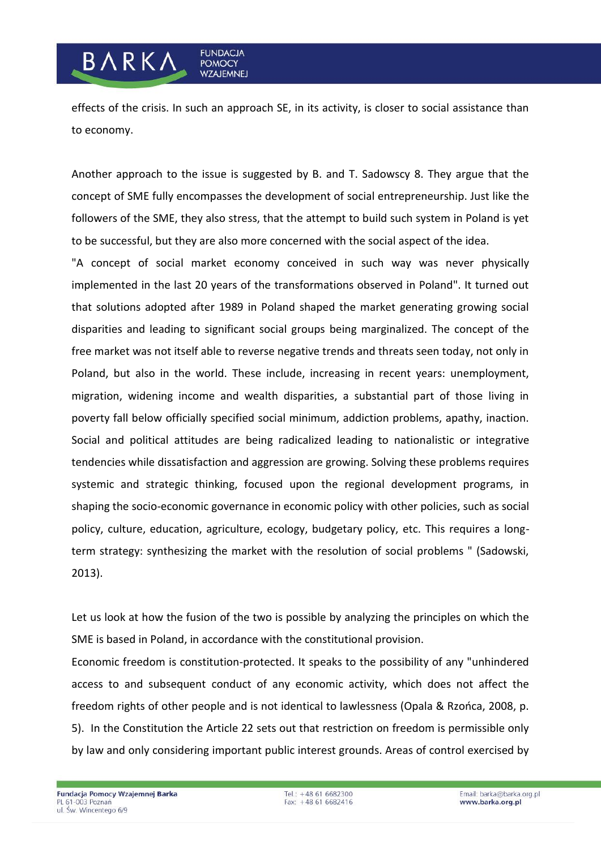### effects of the crisis. In such an approach SE, in its activity, is closer to social assistance than to economy.

**FUNDACJA** 

**POMOCY WZAJEMNEJ** 

**BARKA** 

Another approach to the issue is suggested by B. and T. Sadowscy 8. They argue that the concept of SME fully encompasses the development of social entrepreneurship. Just like the followers of the SME, they also stress, that the attempt to build such system in Poland is yet to be successful, but they are also more concerned with the social aspect of the idea.

"A concept of social market economy conceived in such way was never physically implemented in the last 20 years of the transformations observed in Poland". It turned out that solutions adopted after 1989 in Poland shaped the market generating growing social disparities and leading to significant social groups being marginalized. The concept of the free market was not itself able to reverse negative trends and threats seen today, not only in Poland, but also in the world. These include, increasing in recent years: unemployment, migration, widening income and wealth disparities, a substantial part of those living in poverty fall below officially specified social minimum, addiction problems, apathy, inaction. Social and political attitudes are being radicalized leading to nationalistic or integrative tendencies while dissatisfaction and aggression are growing. Solving these problems requires systemic and strategic thinking, focused upon the regional development programs, in shaping the socio-economic governance in economic policy with other policies, such as social policy, culture, education, agriculture, ecology, budgetary policy, etc. This requires a longterm strategy: synthesizing the market with the resolution of social problems " (Sadowski, 2013).

Let us look at how the fusion of the two is possible by analyzing the principles on which the SME is based in Poland, in accordance with the constitutional provision.

Economic freedom is constitution-protected. It speaks to the possibility of any "unhindered access to and subsequent conduct of any economic activity, which does not affect the freedom rights of other people and is not identical to lawlessness (Opala & Rzońca, 2008, p. 5). In the Constitution the Article 22 sets out that restriction on freedom is permissible only by law and only considering important public interest grounds. Areas of control exercised by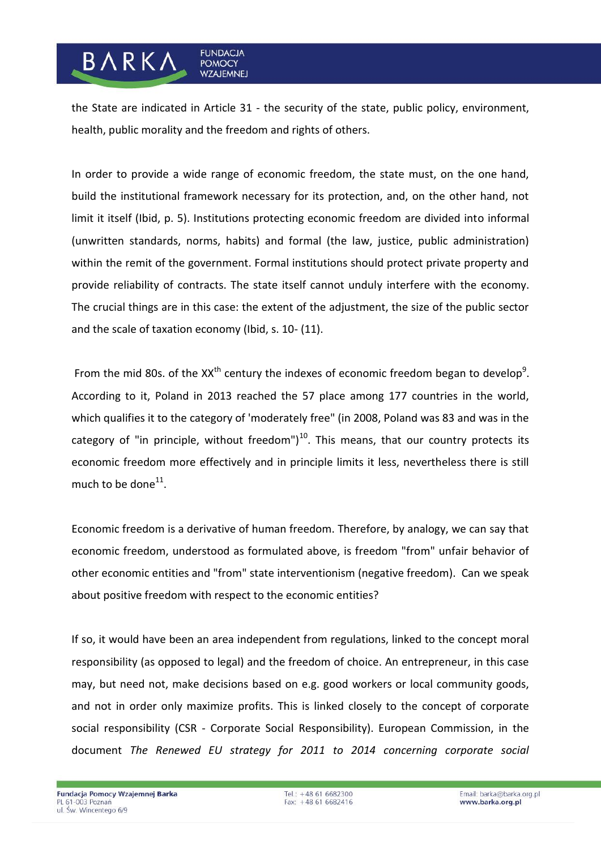## the State are indicated in Article 31 - the security of the state, public policy, environment, health, public morality and the freedom and rights of others.

**FUNDACJA** 

**POMOCY WZAJEMNEJ** 

**BARKA** 

In order to provide a wide range of economic freedom, the state must, on the one hand, build the institutional framework necessary for its protection, and, on the other hand, not limit it itself (Ibid, p. 5). Institutions protecting economic freedom are divided into informal (unwritten standards, norms, habits) and formal (the law, justice, public administration) within the remit of the government. Formal institutions should protect private property and provide reliability of contracts. The state itself cannot unduly interfere with the economy. The crucial things are in this case: the extent of the adjustment, the size of the public sector and the scale of taxation economy (Ibid, s. 10- (11).

From the mid 80s. of the XX<sup>th</sup> century the indexes of economic freedom began to develop<sup>9</sup>. According to it, Poland in 2013 reached the 57 place among 177 countries in the world, which qualifies it to the category of 'moderately free" (in 2008, Poland was 83 and was in the category of "in principle, without freedom") $^{10}$ . This means, that our country protects its economic freedom more effectively and in principle limits it less, nevertheless there is still much to be done $^{11}$ .

Economic freedom is a derivative of human freedom. Therefore, by analogy, we can say that economic freedom, understood as formulated above, is freedom "from" unfair behavior of other economic entities and "from" state interventionism (negative freedom). Can we speak about positive freedom with respect to the economic entities?

If so, it would have been an area independent from regulations, linked to the concept moral responsibility (as opposed to legal) and the freedom of choice. An entrepreneur, in this case may, but need not, make decisions based on e.g. good workers or local community goods, and not in order only maximize profits. This is linked closely to the concept of corporate social responsibility (CSR - Corporate Social Responsibility). European Commission, in the document *The Renewed EU strategy for 2011 to 2014 concerning corporate social*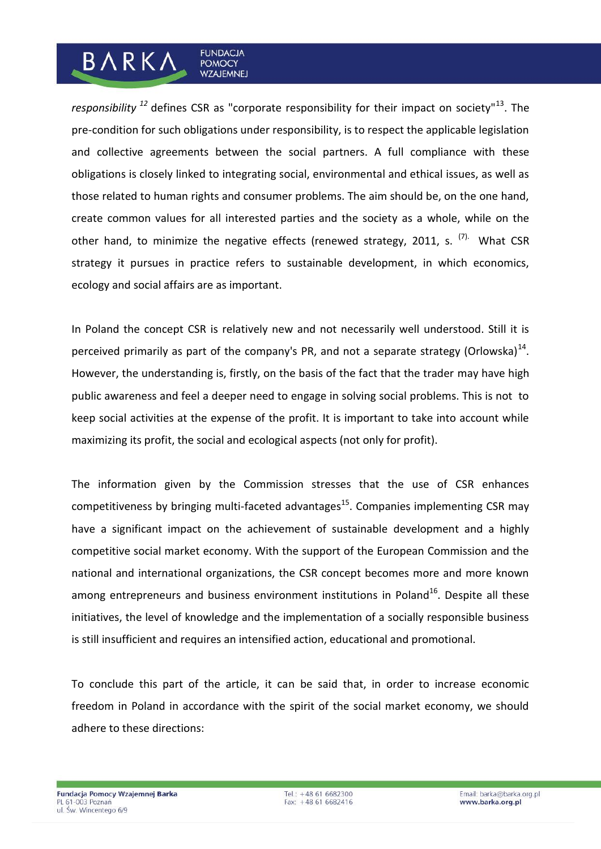*responsibility <sup>12</sup>* defines CSR as "corporate responsibility for their impact on society"<sup>13</sup>. The pre-condition for such obligations under responsibility, is to respect the applicable legislation and collective agreements between the social partners. A full compliance with these obligations is closely linked to integrating social, environmental and ethical issues, as well as those related to human rights and consumer problems. The aim should be, on the one hand, create common values for all interested parties and the society as a whole, while on the other hand, to minimize the negative effects (renewed strategy, 2011, s.  $(7)$ . What CSR strategy it pursues in practice refers to sustainable development, in which economics, ecology and social affairs are as important.

**FUNDACJA** 

**POMOCY WZAJEMNEJ** 

**BARKA** 

In Poland the concept CSR is relatively new and not necessarily well understood. Still it is perceived primarily as part of the company's PR, and not a separate strategy (Orlowska)<sup>14</sup>. However, the understanding is, firstly, on the basis of the fact that the trader may have high public awareness and feel a deeper need to engage in solving social problems. This is not to keep social activities at the expense of the profit. It is important to take into account while maximizing its profit, the social and ecological aspects (not only for profit).

The information given by the Commission stresses that the use of CSR enhances competitiveness by bringing multi-faceted advantages<sup>15</sup>. Companies implementing CSR may have a significant impact on the achievement of sustainable development and a highly competitive social market economy. With the support of the European Commission and the national and international organizations, the CSR concept becomes more and more known among entrepreneurs and business environment institutions in Poland<sup>16</sup>. Despite all these initiatives, the level of knowledge and the implementation of a socially responsible business is still insufficient and requires an intensified action, educational and promotional.

To conclude this part of the article, it can be said that, in order to increase economic freedom in Poland in accordance with the spirit of the social market economy, we should adhere to these directions: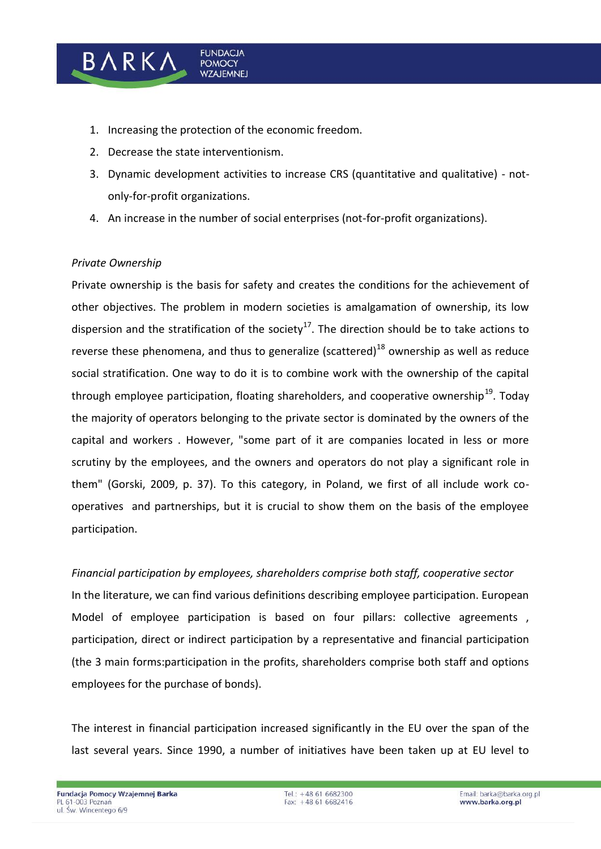1. Increasing the protection of the economic freedom.

**FUNDACJA** 

**POMOCY WZAJEMNEJ** 

- 2. Decrease the state interventionism.
- 3. Dynamic development activities to increase CRS (quantitative and qualitative) notonly-for-profit organizations.
- 4. An increase in the number of social enterprises (not-for-profit organizations).

### *Private Ownership*

BARK/

Private ownership is the basis for safety and creates the conditions for the achievement of other objectives. The problem in modern societies is amalgamation of ownership, its low dispersion and the stratification of the society<sup>17</sup>. The direction should be to take actions to reverse these phenomena, and thus to generalize (scattered)<sup>18</sup> ownership as well as reduce social stratification. One way to do it is to combine work with the ownership of the capital through employee participation, floating shareholders, and cooperative ownership<sup>19</sup>. Todav the majority of operators belonging to the private sector is dominated by the owners of the capital and workers . However, "some part of it are companies located in less or more scrutiny by the employees, and the owners and operators do not play a significant role in them" (Gorski, 2009, p. 37). To this category, in Poland, we first of all include work cooperatives and partnerships, but it is crucial to show them on the basis of the employee participation.

*Financial participation by employees, shareholders comprise both staff, cooperative sector* 

In the literature, we can find various definitions describing employee participation. European Model of employee participation is based on four pillars: collective agreements , participation, direct or indirect participation by a representative and financial participation (the 3 main forms:participation in the profits, shareholders comprise both staff and options employees for the purchase of bonds).

The interest in financial participation increased significantly in the EU over the span of the last several years. Since 1990, a number of initiatives have been taken up at EU level to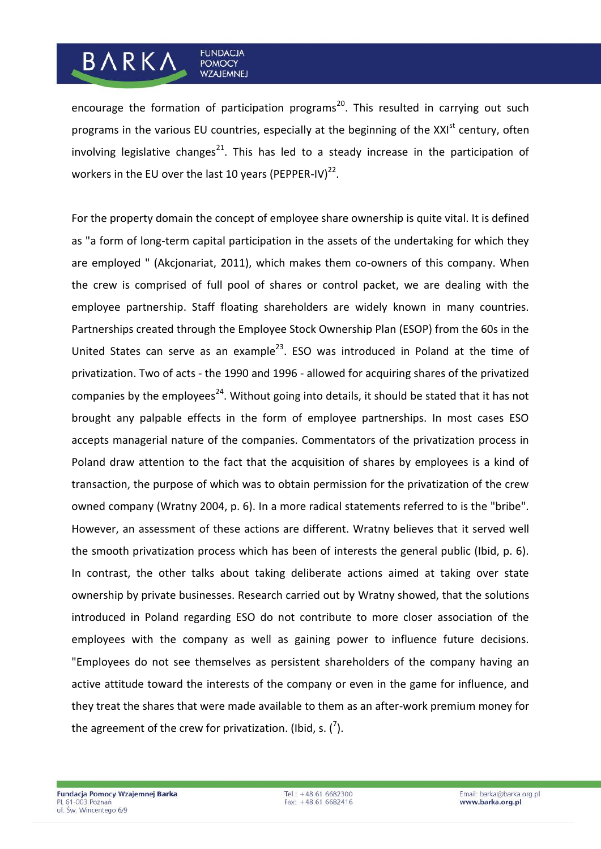#### **FUNDACJA BARKA POMOCY WZAJEMNEJ**

encourage the formation of participation programs<sup>20</sup>. This resulted in carrying out such programs in the various EU countries, especially at the beginning of the XXI<sup>st</sup> century, often involving legislative changes<sup>21</sup>. This has led to a steady increase in the participation of workers in the EU over the last 10 years (PEPPER-IV) $^{22}$ .

For the property domain the concept of employee share ownership is quite vital. It is defined as "a form of long-term capital participation in the assets of the undertaking for which they are employed " (Akcjonariat, 2011), which makes them co-owners of this company. When the crew is comprised of full pool of shares or control packet, we are dealing with the employee partnership. Staff floating shareholders are widely known in many countries. Partnerships created through the Employee Stock Ownership Plan (ESOP) from the 60s in the United States can serve as an example<sup>23</sup>. ESO was introduced in Poland at the time of privatization. Two of acts - the 1990 and 1996 - allowed for acquiring shares of the privatized companies by the employees<sup>24</sup>. Without going into details, it should be stated that it has not brought any palpable effects in the form of employee partnerships. In most cases ESO accepts managerial nature of the companies. Commentators of the privatization process in Poland draw attention to the fact that the acquisition of shares by employees is a kind of transaction, the purpose of which was to obtain permission for the privatization of the crew owned company (Wratny 2004, p. 6). In a more radical statements referred to is the "bribe". However, an assessment of these actions are different. Wratny believes that it served well the smooth privatization process which has been of interests the general public (Ibid, p. 6). In contrast, the other talks about taking deliberate actions aimed at taking over state ownership by private businesses. Research carried out by Wratny showed, that the solutions introduced in Poland regarding ESO do not contribute to more closer association of the employees with the company as well as gaining power to influence future decisions. "Employees do not see themselves as persistent shareholders of the company having an active attitude toward the interests of the company or even in the game for influence, and they treat the shares that were made available to them as an after-work premium money for the agreement of the crew for privatization. (Ibid, s.  $\binom{7}{2}$ .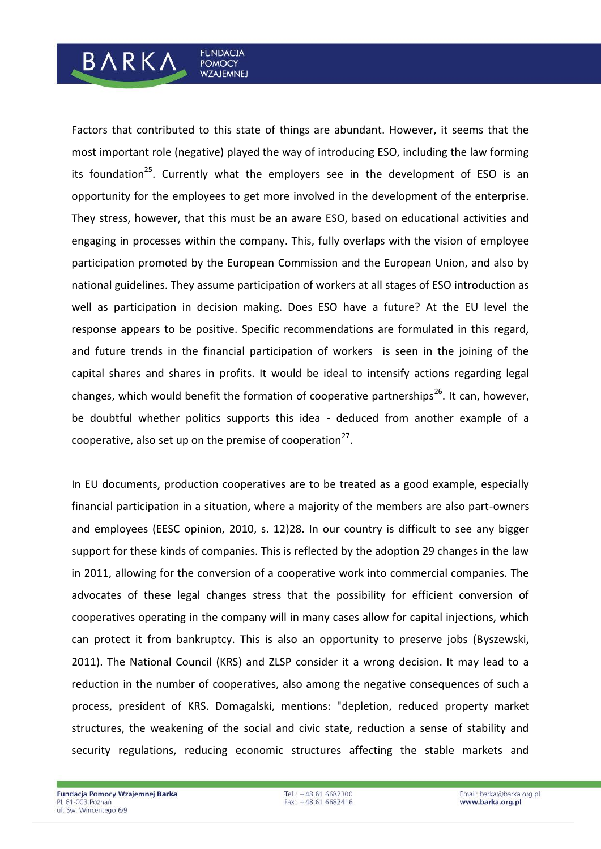# Factors that contributed to this state of things are abundant. However, it seems that the most important role (negative) played the way of introducing ESO, including the law forming its foundation<sup>25</sup>. Currently what the employers see in the development of ESO is an opportunity for the employees to get more involved in the development of the enterprise. They stress, however, that this must be an aware ESO, based on educational activities and engaging in processes within the company. This, fully overlaps with the vision of employee participation promoted by the European Commission and the European Union, and also by national guidelines. They assume participation of workers at all stages of ESO introduction as well as participation in decision making. Does ESO have a future? At the EU level the response appears to be positive. Specific recommendations are formulated in this regard, and future trends in the financial participation of workers is seen in the joining of the capital shares and shares in profits. It would be ideal to intensify actions regarding legal changes, which would benefit the formation of cooperative partnerships<sup>26</sup>. It can, however, be doubtful whether politics supports this idea - deduced from another example of a cooperative, also set up on the premise of cooperation<sup>27</sup>.

**FUNDACJA** 

**POMOCY WZAJEMNEJ** 

**BARKA** 

In EU documents, production cooperatives are to be treated as a good example, especially financial participation in a situation, where a majority of the members are also part-owners and employees (EESC opinion, 2010, s. 12)28. In our country is difficult to see any bigger support for these kinds of companies. This is reflected by the adoption 29 changes in the law in 2011, allowing for the conversion of a cooperative work into commercial companies. The advocates of these legal changes stress that the possibility for efficient conversion of cooperatives operating in the company will in many cases allow for capital injections, which can protect it from bankruptcy. This is also an opportunity to preserve jobs (Byszewski, 2011). The National Council (KRS) and ZLSP consider it a wrong decision. It may lead to a reduction in the number of cooperatives, also among the negative consequences of such a process, president of KRS. Domagalski, mentions: "depletion, reduced property market structures, the weakening of the social and civic state, reduction a sense of stability and security regulations, reducing economic structures affecting the stable markets and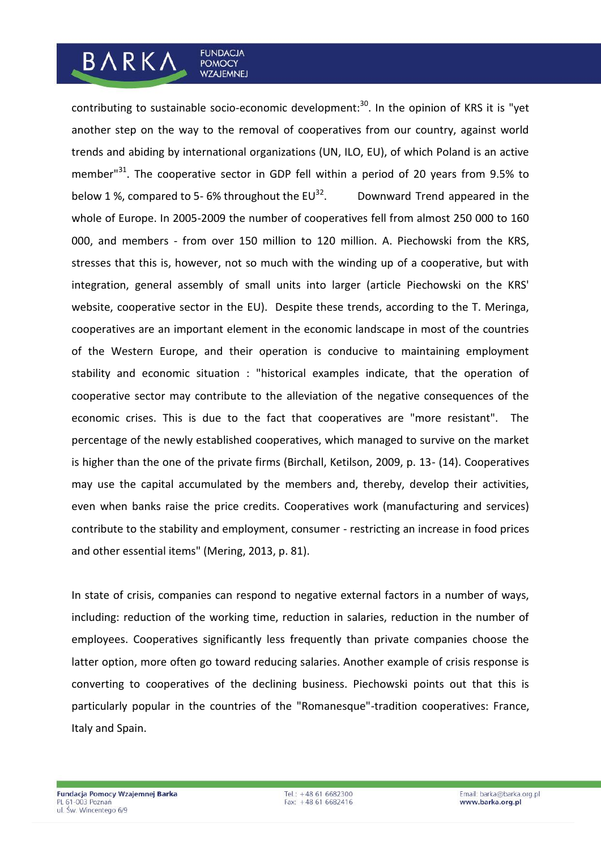# contributing to sustainable socio-economic development:<sup>30</sup>. In the opinion of KRS it is "yet another step on the way to the removal of cooperatives from our country, against world trends and abiding by international organizations (UN, ILO, EU), of which Poland is an active member<sup>31</sup>. The cooperative sector in GDP fell within a period of 20 years from 9.5% to below 1 %, compared to 5- 6% throughout the  $EU^{32}$ . . Downward Trend appeared in the whole of Europe. In 2005-2009 the number of cooperatives fell from almost 250 000 to 160 000, and members - from over 150 million to 120 million. A. Piechowski from the KRS, stresses that this is, however, not so much with the winding up of a cooperative, but with integration, general assembly of small units into larger (article Piechowski on the KRS' website, cooperative sector in the EU). Despite these trends, according to the T. Meringa, cooperatives are an important element in the economic landscape in most of the countries

**FUNDACJA** 

**POMOCY WZAJEMNEJ** 

**BARKA** 

of the Western Europe, and their operation is conducive to maintaining employment stability and economic situation : "historical examples indicate, that the operation of cooperative sector may contribute to the alleviation of the negative consequences of the economic crises. This is due to the fact that cooperatives are "more resistant". The percentage of the newly established cooperatives, which managed to survive on the market is higher than the one of the private firms (Birchall, Ketilson, 2009, p. 13- (14). Cooperatives may use the capital accumulated by the members and, thereby, develop their activities, even when banks raise the price credits. Cooperatives work (manufacturing and services) contribute to the stability and employment, consumer - restricting an increase in food prices and other essential items" (Mering, 2013, p. 81).

In state of crisis, companies can respond to negative external factors in a number of ways, including: reduction of the working time, reduction in salaries, reduction in the number of employees. Cooperatives significantly less frequently than private companies choose the latter option, more often go toward reducing salaries. Another example of crisis response is converting to cooperatives of the declining business. Piechowski points out that this is particularly popular in the countries of the "Romanesque"-tradition cooperatives: France, Italy and Spain.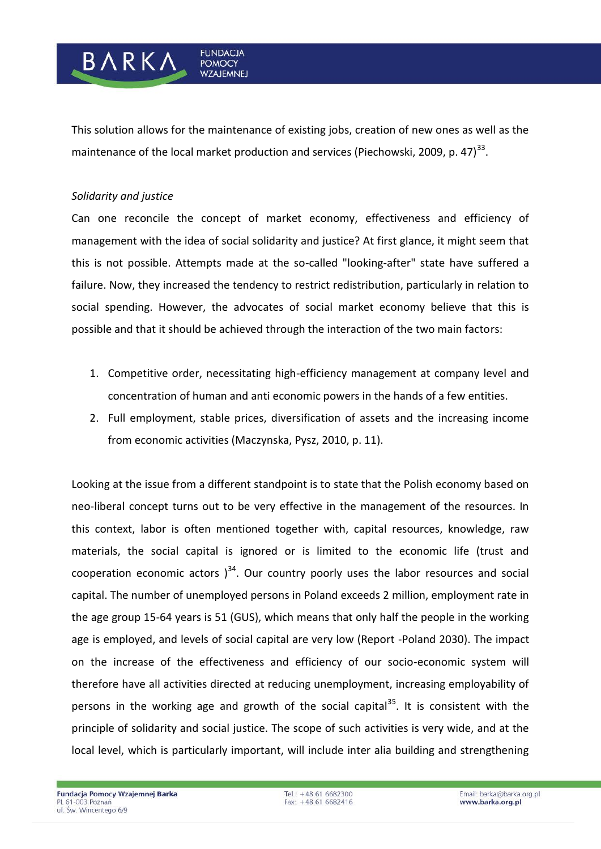This solution allows for the maintenance of existing jobs, creation of new ones as well as the maintenance of the local market production and services (Piechowski, 2009, p. 47) $^{33}$ .

**FUNDACJA** 

**POMOCY WZAJEMNEJ** 

### *Solidarity and justice*

BARK/

Can one reconcile the concept of market economy, effectiveness and efficiency of management with the idea of social solidarity and justice? At first glance, it might seem that this is not possible. Attempts made at the so-called "looking-after" state have suffered a failure. Now, they increased the tendency to restrict redistribution, particularly in relation to social spending. However, the advocates of social market economy believe that this is possible and that it should be achieved through the interaction of the two main factors:

- 1. Competitive order, necessitating high-efficiency management at company level and concentration of human and anti economic powers in the hands of a few entities.
- 2. Full employment, stable prices, diversification of assets and the increasing income from economic activities (Maczynska, Pysz, 2010, p. 11).

Looking at the issue from a different standpoint is to state that the Polish economy based on neo-liberal concept turns out to be very effective in the management of the resources. In this context, labor is often mentioned together with, capital resources, knowledge, raw materials, the social capital is ignored or is limited to the economic life (trust and cooperation economic actors  $3<sup>34</sup>$ . Our country poorly uses the labor resources and social capital. The number of unemployed persons in Poland exceeds 2 million, employment rate in the age group 15-64 years is 51 (GUS), which means that only half the people in the working age is employed, and levels of social capital are very low (Report -Poland 2030). The impact on the increase of the effectiveness and efficiency of our socio-economic system will therefore have all activities directed at reducing unemployment, increasing employability of persons in the working age and growth of the social capital<sup>35</sup>. It is consistent with the principle of solidarity and social justice. The scope of such activities is very wide, and at the local level, which is particularly important, will include inter alia building and strengthening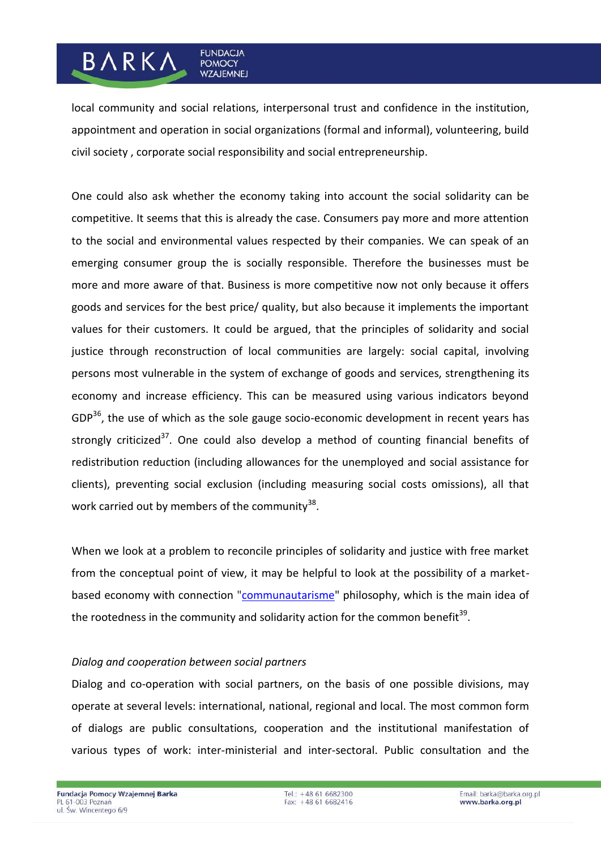# **BARKA**

local community and social relations, interpersonal trust and confidence in the institution, appointment and operation in social organizations (formal and informal), volunteering, build civil society , corporate social responsibility and social entrepreneurship.

**FUNDACJA** 

**POMOCY WZAJEMNEJ** 

One could also ask whether the economy taking into account the social solidarity can be competitive. It seems that this is already the case. Consumers pay more and more attention to the social and environmental values respected by their companies. We can speak of an emerging consumer group the is socially responsible. Therefore the businesses must be more and more aware of that. Business is more competitive now not only because it offers goods and services for the best price/ quality, but also because it implements the important values for their customers. It could be argued, that the principles of solidarity and social justice through reconstruction of local communities are largely: social capital, involving persons most vulnerable in the system of exchange of goods and services, strengthening its economy and increase efficiency. This can be measured using various indicators beyond  $GDP<sup>36</sup>$ , the use of which as the sole gauge socio-economic development in recent years has strongly criticized $37$ . One could also develop a method of counting financial benefits of redistribution reduction (including allowances for the unemployed and social assistance for clients), preventing social exclusion (including measuring social costs omissions), all that work carried out by members of the community $^{38}$ .

When we look at a problem to reconcile principles of solidarity and justice with free market from the conceptual point of view, it may be helpful to look at the possibility of a marketbased economy with connection ["communautarisme"](https://www.google.ie/search?q=communautarisme+english&spell=1&sa=X&ei=ljTxUo6tJ8mX7QaWuoGwBw&ved=0CCcQBSgA) philosophy, which is the main idea of the rootedness in the community and solidarity action for the common benefit<sup>39</sup>.

### *Dialog and cooperation between social partners*

Dialog and co-operation with social partners, on the basis of one possible divisions, may operate at several levels: international, national, regional and local. The most common form of dialogs are public consultations, cooperation and the institutional manifestation of various types of work: inter-ministerial and inter-sectoral. Public consultation and the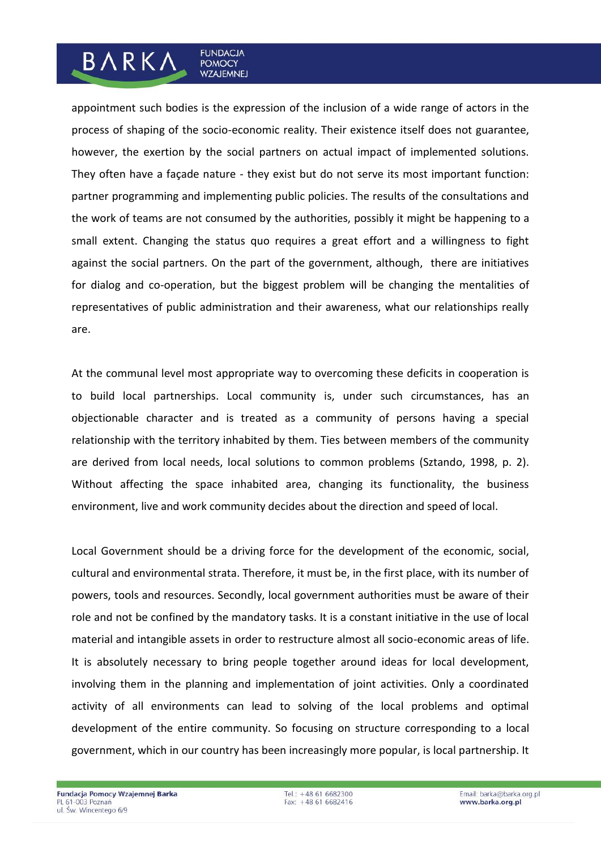# appointment such bodies is the expression of the inclusion of a wide range of actors in the process of shaping of the socio-economic reality. Their existence itself does not guarantee, however, the exertion by the social partners on actual impact of implemented solutions. They often have a façade nature - they exist but do not serve its most important function: partner programming and implementing public policies. The results of the consultations and the work of teams are not consumed by the authorities, possibly it might be happening to a small extent. Changing the status quo requires a great effort and a willingness to fight against the social partners. On the part of the government, although, there are initiatives for dialog and co-operation, but the biggest problem will be changing the mentalities of representatives of public administration and their awareness, what our relationships really are.

**FUNDACJA** 

**POMOCY WZAJEMNEJ** 

**BARKA** 

At the communal level most appropriate way to overcoming these deficits in cooperation is to build local partnerships. Local community is, under such circumstances, has an objectionable character and is treated as a community of persons having a special relationship with the territory inhabited by them. Ties between members of the community are derived from local needs, local solutions to common problems (Sztando, 1998, p. 2). Without affecting the space inhabited area, changing its functionality, the business environment, live and work community decides about the direction and speed of local.

Local Government should be a driving force for the development of the economic, social, cultural and environmental strata. Therefore, it must be, in the first place, with its number of powers, tools and resources. Secondly, local government authorities must be aware of their role and not be confined by the mandatory tasks. It is a constant initiative in the use of local material and intangible assets in order to restructure almost all socio-economic areas of life. It is absolutely necessary to bring people together around ideas for local development, involving them in the planning and implementation of joint activities. Only a coordinated activity of all environments can lead to solving of the local problems and optimal development of the entire community. So focusing on structure corresponding to a local government, which in our country has been increasingly more popular, is local partnership. It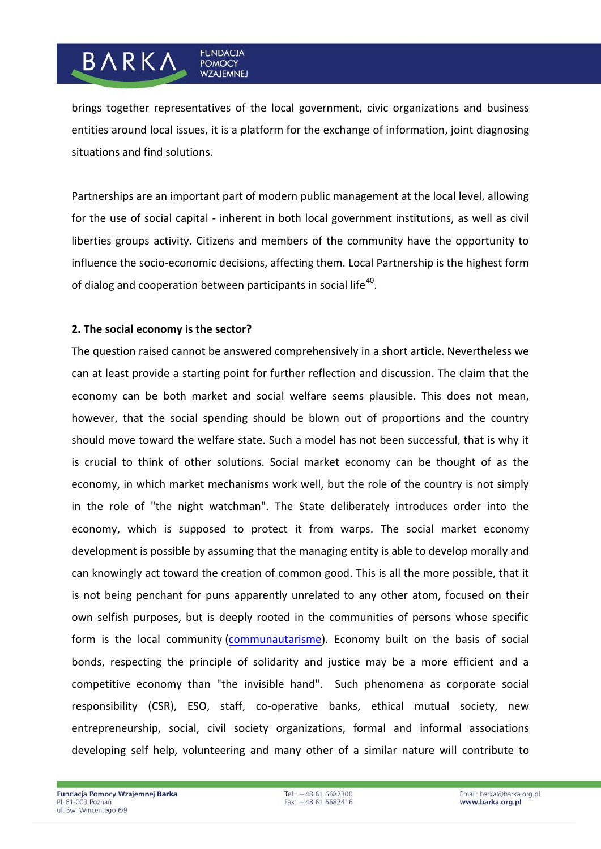## brings together representatives of the local government, civic organizations and business entities around local issues, it is a platform for the exchange of information, joint diagnosing situations and find solutions.

**FUNDACJA** 

**POMOCY WZAJEMNEJ** 

Partnerships are an important part of modern public management at the local level, allowing for the use of social capital - inherent in both local government institutions, as well as civil liberties groups activity. Citizens and members of the community have the opportunity to influence the socio-economic decisions, affecting them. Local Partnership is the highest form of dialog and cooperation between participants in social life<sup>40</sup>.

### **2. The social economy is the sector?**

BARKA

The question raised cannot be answered comprehensively in a short article. Nevertheless we can at least provide a starting point for further reflection and discussion. The claim that the economy can be both market and social welfare seems plausible. This does not mean, however, that the social spending should be blown out of proportions and the country should move toward the welfare state. Such a model has not been successful, that is why it is crucial to think of other solutions. Social market economy can be thought of as the economy, in which market mechanisms work well, but the role of the country is not simply in the role of "the night watchman". The State deliberately introduces order into the economy, which is supposed to protect it from warps. The social market economy development is possible by assuming that the managing entity is able to develop morally and can knowingly act toward the creation of common good. This is all the more possible, that it is not being penchant for puns apparently unrelated to any other atom, focused on their own selfish purposes, but is deeply rooted in the communities of persons whose specific form is the local community [\(communautarisme\)](https://www.google.ie/search?q=communautarisme+english&spell=1&sa=X&ei=ljTxUo6tJ8mX7QaWuoGwBw&ved=0CCcQBSgA). Economy built on the basis of social bonds, respecting the principle of solidarity and justice may be a more efficient and a competitive economy than "the invisible hand". Such phenomena as corporate social responsibility (CSR), ESO, staff, co-operative banks, ethical mutual society, new entrepreneurship, social, civil society organizations, formal and informal associations developing self help, volunteering and many other of a similar nature will contribute to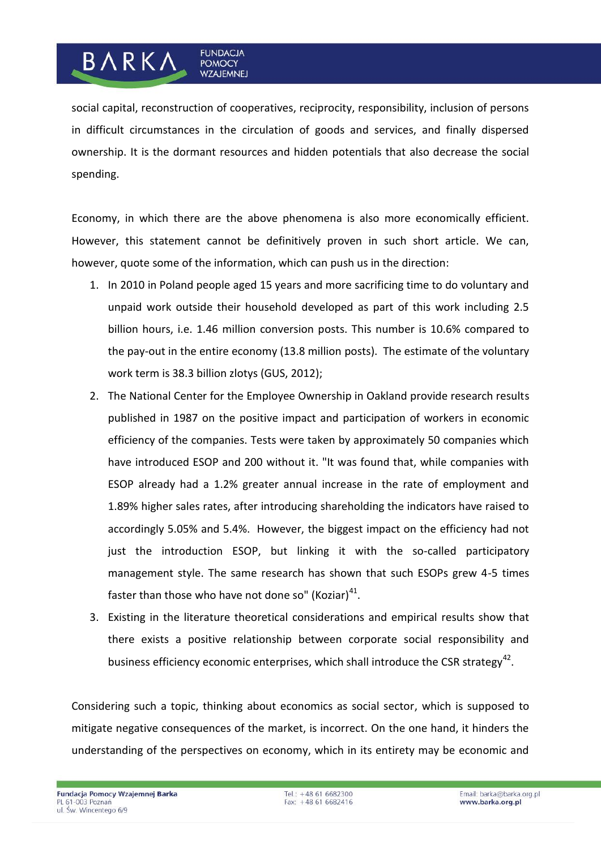## social capital, reconstruction of cooperatives, reciprocity, responsibility, inclusion of persons in difficult circumstances in the circulation of goods and services, and finally dispersed ownership. It is the dormant resources and hidden potentials that also decrease the social spending.

**FUNDACJA** 

**POMOCY WZAJEMNEJ** 

**BARKA** 

Economy, in which there are the above phenomena is also more economically efficient. However, this statement cannot be definitively proven in such short article. We can, however, quote some of the information, which can push us in the direction:

- 1. In 2010 in Poland people aged 15 years and more sacrificing time to do voluntary and unpaid work outside their household developed as part of this work including 2.5 billion hours, i.e. 1.46 million conversion posts. This number is 10.6% compared to the pay-out in the entire economy (13.8 million posts). The estimate of the voluntary work term is 38.3 billion zlotys (GUS, 2012);
- 2. The National Center for the Employee Ownership in Oakland provide research results published in 1987 on the positive impact and participation of workers in economic efficiency of the companies. Tests were taken by approximately 50 companies which have introduced ESOP and 200 without it. "It was found that, while companies with ESOP already had a 1.2% greater annual increase in the rate of employment and 1.89% higher sales rates, after introducing shareholding the indicators have raised to accordingly 5.05% and 5.4%. However, the biggest impact on the efficiency had not just the introduction ESOP, but linking it with the so-called participatory management style. The same research has shown that such ESOPs grew 4-5 times faster than those who have not done so" (Koziar)<sup>41</sup>.
- 3. Existing in the literature theoretical considerations and empirical results show that there exists a positive relationship between corporate social responsibility and business efficiency economic enterprises, which shall introduce the CSR strategy<sup>42</sup>.

Considering such a topic, thinking about economics as social sector, which is supposed to mitigate negative consequences of the market, is incorrect. On the one hand, it hinders the understanding of the perspectives on economy, which in its entirety may be economic and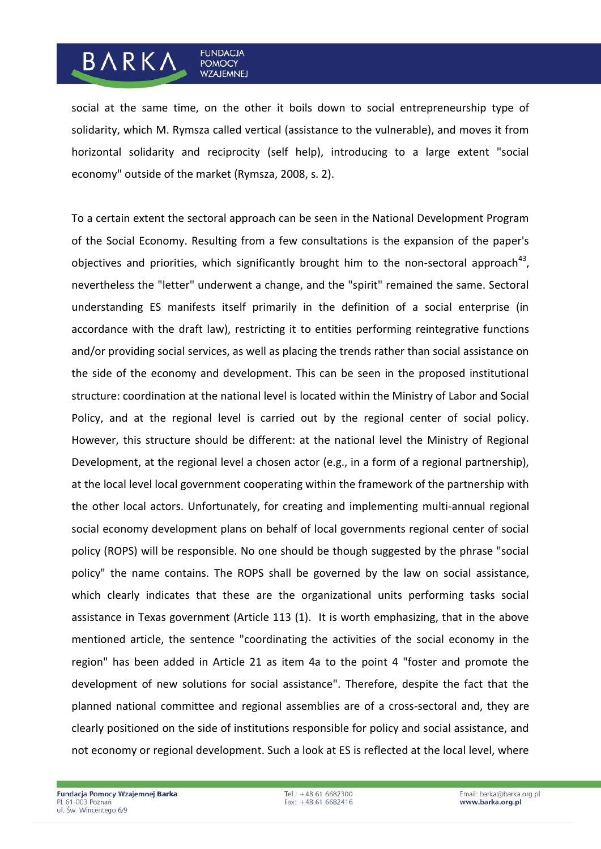# **BARKA**

**FUNDACJA** 

**POMOCY WZAJEMNEJ** 

social at the same time, on the other it boils down to social entrepreneurship type of solidarity, which M. Rymsza called vertical (assistance to the vulnerable), and moves it from horizontal solidarity and reciprocity (self help), introducing to a large extent "social economy" outside of the market (Rymsza, 2008, s. 2).

To a certain extent the sectoral approach can be seen in the National Development Program of the Social Economy. Resulting from a few consultations is the expansion of the paper's objectives and priorities, which significantly brought him to the non-sectoral approach $^{43}$ , nevertheless the "letter" underwent a change, and the "spirit" remained the same. Sectoral understanding ES manifests itself primarily in the definition of a social enterprise (in accordance with the draft law), restricting it to entities performing reintegrative functions and/or providing social services, as well as placing the trends rather than social assistance on the side of the economy and development. This can be seen in the proposed institutional structure: coordination at the national level is located within the Ministry of Labor and Social Policy, and at the regional level is carried out by the regional center of social policy. However, this structure should be different: at the national level the Ministry of Regional Development, at the regional level a chosen actor (e.g., in a form of a regional partnership), at the local level local government cooperating within the framework of the partnership with the other local actors. Unfortunately, for creating and implementing multi-annual regional social economy development plans on behalf of local governments regional center of social policy (ROPS) will be responsible. No one should be though suggested by the phrase "social policy" the name contains. The ROPS shall be governed by the law on social assistance, which clearly indicates that these are the organizational units performing tasks social assistance in Texas government (Article 113 (1). It is worth emphasizing, that in the above mentioned article, the sentence "coordinating the activities of the social economy in the region" has been added in Article 21 as item 4a to the point 4 "foster and promote the development of new solutions for social assistance". Therefore, despite the fact that the planned national committee and regional assemblies are of a cross-sectoral and, they are clearly positioned on the side of institutions responsible for policy and social assistance, and not economy or regional development. Such a look at ES is reflected at the local level, where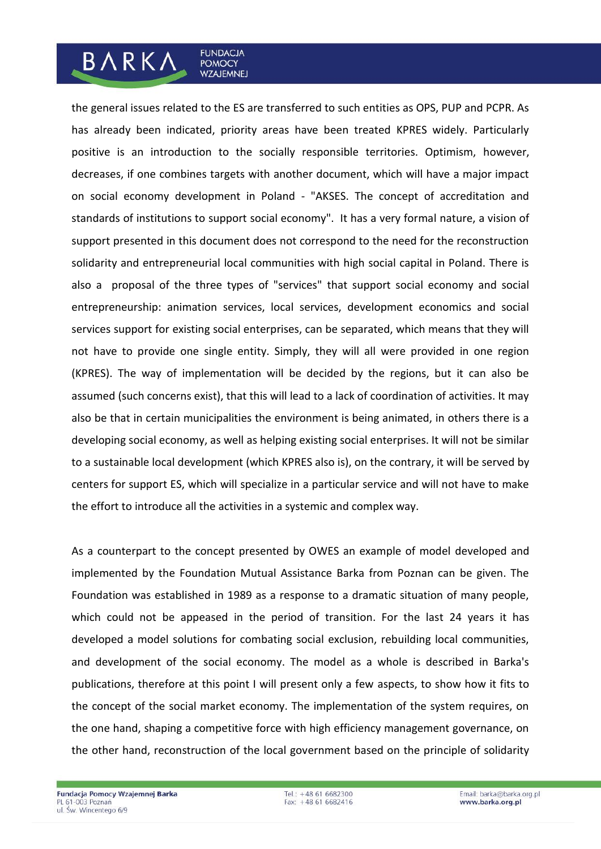# the general issues related to the ES are transferred to such entities as OPS, PUP and PCPR. As has already been indicated, priority areas have been treated KPRES widely. Particularly positive is an introduction to the socially responsible territories. Optimism, however, decreases, if one combines targets with another document, which will have a major impact on social economy development in Poland - "AKSES. The concept of accreditation and standards of institutions to support social economy". It has a very formal nature, a vision of support presented in this document does not correspond to the need for the reconstruction solidarity and entrepreneurial local communities with high social capital in Poland. There is also a proposal of the three types of "services" that support social economy and social entrepreneurship: animation services, local services, development economics and social services support for existing social enterprises, can be separated, which means that they will not have to provide one single entity. Simply, they will all were provided in one region (KPRES). The way of implementation will be decided by the regions, but it can also be assumed (such concerns exist), that this will lead to a lack of coordination of activities. It may also be that in certain municipalities the environment is being animated, in others there is a developing social economy, as well as helping existing social enterprises. It will not be similar to a sustainable local development (which KPRES also is), on the contrary, it will be served by centers for support ES, which will specialize in a particular service and will not have to make

As a counterpart to the concept presented by OWES an example of model developed and implemented by the Foundation Mutual Assistance Barka from Poznan can be given. The Foundation was established in 1989 as a response to a dramatic situation of many people, which could not be appeased in the period of transition. For the last 24 years it has developed a model solutions for combating social exclusion, rebuilding local communities, and development of the social economy. The model as a whole is described in Barka's publications, therefore at this point I will present only a few aspects, to show how it fits to the concept of the social market economy. The implementation of the system requires, on the one hand, shaping a competitive force with high efficiency management governance, on the other hand, reconstruction of the local government based on the principle of solidarity

the effort to introduce all the activities in a systemic and complex way.

**FUNDACJA** 

**POMOCY WZAJEMNEJ** 

**BARKA**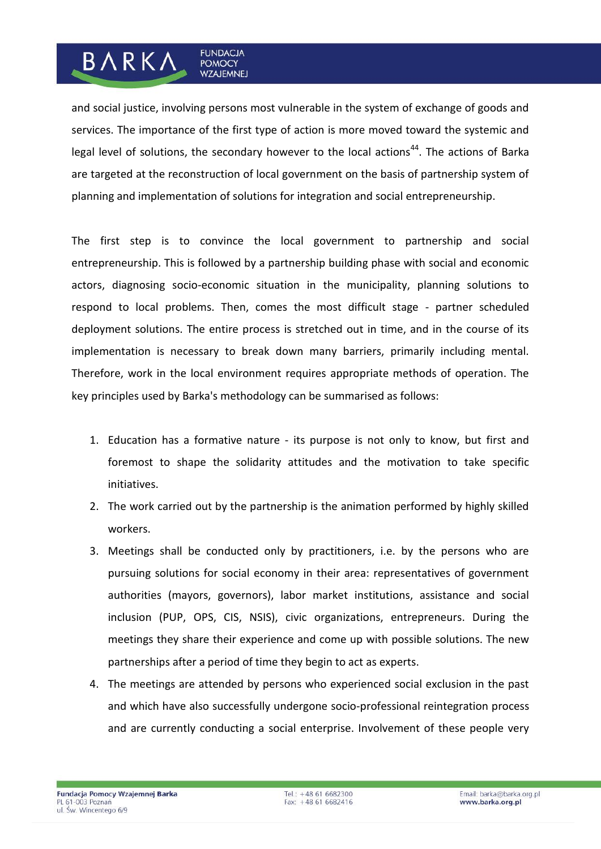## and social justice, involving persons most vulnerable in the system of exchange of goods and services. The importance of the first type of action is more moved toward the systemic and legal level of solutions, the secondary however to the local actions<sup>44</sup>. The actions of Barka are targeted at the reconstruction of local government on the basis of partnership system of planning and implementation of solutions for integration and social entrepreneurship.

**FUNDACJA** 

**POMOCY WZAJEMNEJ** 

BARKA

The first step is to convince the local government to partnership and social entrepreneurship. This is followed by a partnership building phase with social and economic actors, diagnosing socio-economic situation in the municipality, planning solutions to respond to local problems. Then, comes the most difficult stage - partner scheduled deployment solutions. The entire process is stretched out in time, and in the course of its implementation is necessary to break down many barriers, primarily including mental. Therefore, work in the local environment requires appropriate methods of operation. The key principles used by Barka's methodology can be summarised as follows:

- 1. Education has a formative nature its purpose is not only to know, but first and foremost to shape the solidarity attitudes and the motivation to take specific initiatives.
- 2. The work carried out by the partnership is the animation performed by highly skilled workers.
- 3. Meetings shall be conducted only by practitioners, i.e. by the persons who are pursuing solutions for social economy in their area: representatives of government authorities (mayors, governors), labor market institutions, assistance and social inclusion (PUP, OPS, CIS, NSIS), civic organizations, entrepreneurs. During the meetings they share their experience and come up with possible solutions. The new partnerships after a period of time they begin to act as experts.
- 4. The meetings are attended by persons who experienced social exclusion in the past and which have also successfully undergone socio-professional reintegration process and are currently conducting a social enterprise. Involvement of these people very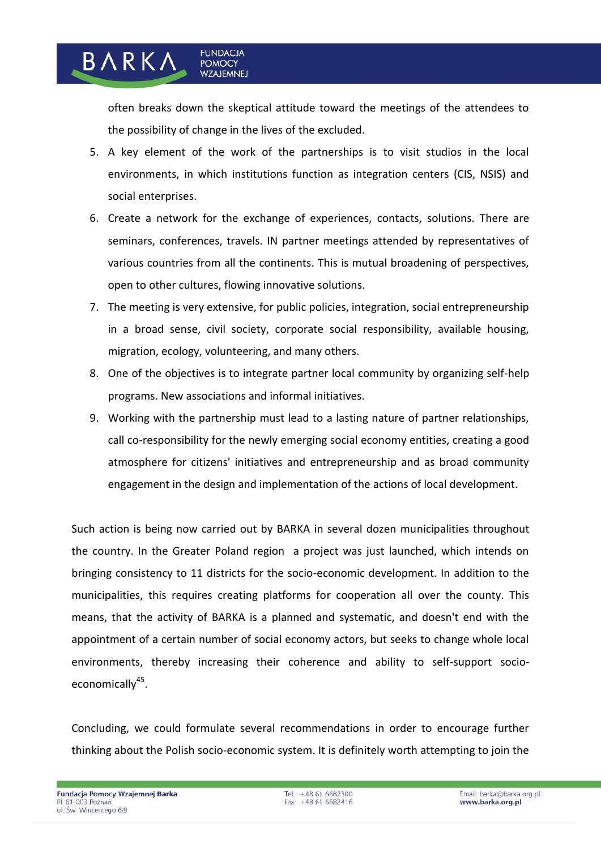often breaks down the skeptical attitude toward the meetings of the attendees to the possibility of change in the lives of the excluded.

**FUNDACJA** 

**POMOCY WZAJEMNEJ** 

BARKA

- 5. A key element of the work of the partnerships is to visit studios in the local environments, in which institutions function as integration centers (CIS, NSIS) and social enterprises.
- 6. Create a network for the exchange of experiences, contacts, solutions. There are seminars, conferences, travels. IN partner meetings attended by representatives of various countries from all the continents. This is mutual broadening of perspectives, open to other cultures, flowing innovative solutions.
- 7. The meeting is very extensive, for public policies, integration, social entrepreneurship in a broad sense, civil society, corporate social responsibility, available housing, migration, ecology, volunteering, and many others.
- 8. One of the objectives is to integrate partner local community by organizing self-help programs. New associations and informal initiatives.
- 9. Working with the partnership must lead to a lasting nature of partner relationships, call co-responsibility for the newly emerging social economy entities, creating a good atmosphere for citizens' initiatives and entrepreneurship and as broad community engagement in the design and implementation of the actions of local development.

Such action is being now carried out by BARKA in several dozen municipalities throughout the country. In the Greater Poland region a project was just launched, which intends on bringing consistency to 11 districts for the socio-economic development. In addition to the municipalities, this requires creating platforms for cooperation all over the county. This means, that the activity of BARKA is a planned and systematic, and doesn't end with the appointment of a certain number of social economy actors, but seeks to change whole local environments, thereby increasing their coherence and ability to self-support socioeconomically<sup>45</sup>.

Concluding, we could formulate several recommendations in order to encourage further thinking about the Polish socio-economic system. It is definitely worth attempting to join the